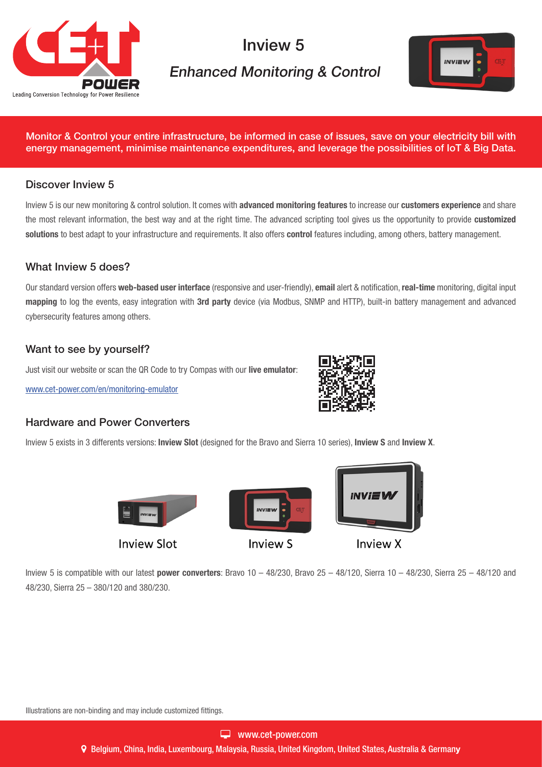

# Inview 5

# Enhanced Monitoring & Control



Monitor & Control your entire infrastructure, be informed in case of issues, save on your electricity bill with energy management, minimise maintenance expenditures, and leverage the possibilities of IoT & Big Data.

### Discover Inview 5

Inview 5 is our new monitoring & control solution. It comes with advanced monitoring features to increase our customers experience and share the most relevant information, the best way and at the right time. The advanced scripting tool gives us the opportunity to provide customized solutions to best adapt to your infrastructure and requirements. It also offers control features including, among others, battery management.

#### What Inview 5 does?

Our standard version offers web-based user interface (responsive and user-friendly), email alert & notification, real-time monitoring, digital input mapping to log the events, easy integration with 3rd party device (via Modbus, SNMP and HTTP), built-in battery management and advanced cybersecurity features among others.

### Want to see by yourself?

Just visit our website or scan the QR Code to try Compas with our live emulator:

[www.cet-power.com/en/monitoring-emulator](http://www.cet-power.com/en/monitoring-emulator)



#### Hardware and Power Converters

Inview 5 exists in 3 differents versions: Inview Slot (designed for the Bravo and Sierra 10 series), Inview S and Inview X.



Inview 5 is compatible with our latest power converters: Bravo  $10 - 48/230$ , Bravo  $25 - 48/120$ , Sierra  $10 - 48/230$ , Sierra 25 - 48/120 and 48/230, Sierra 25 – 380/120 and 380/230.

Illustrations are non-binding and may include customized fittings.

Belgium, China, India, Luxembourg, Malaysia, Russia, United Kingdom, United States, Australia & Germany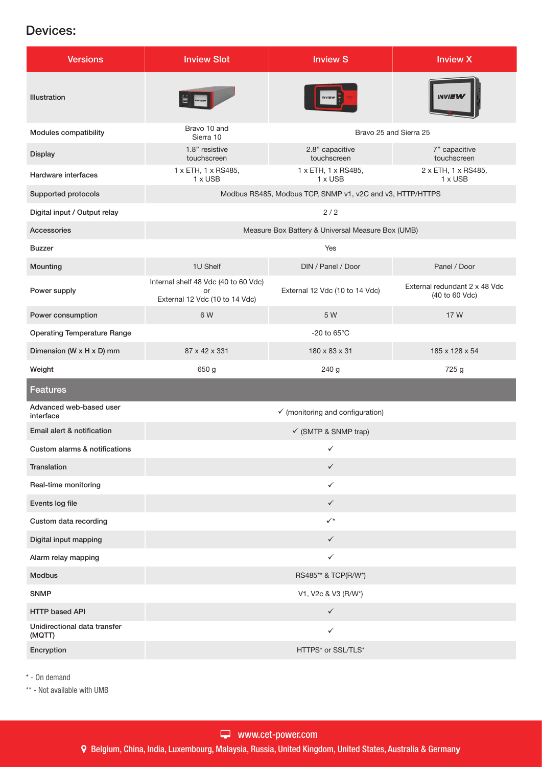## Devices:

| <b>Versions</b>                        | <b>Inview Slot</b>                                                           | <b>Inview S</b>                       | <b>Inview X</b>                                 |
|----------------------------------------|------------------------------------------------------------------------------|---------------------------------------|-------------------------------------------------|
| <b>Illustration</b>                    |                                                                              |                                       |                                                 |
| Modules compatibility                  | Bravo 10 and<br>Bravo 25 and Sierra 25<br>Sierra 10                          |                                       |                                                 |
| Display                                | 1.8" resistive<br>touchscreen                                                | 2.8" capacitive<br>touchscreen        | 7" capacitive<br>touchscreen                    |
| Hardware interfaces                    | 1 x ETH, 1 x RS485,<br>1 x USB                                               | 1 x ETH, 1 x RS485,<br>$1 \times$ USB | 2 x ETH, 1 x RS485,<br>1 x USB                  |
| Supported protocols                    | Modbus RS485, Modbus TCP, SNMP v1, v2C and v3, HTTP/HTTPS                    |                                       |                                                 |
| Digital input / Output relay           | 2/2                                                                          |                                       |                                                 |
| Accessories                            | Measure Box Battery & Universal Measure Box (UMB)                            |                                       |                                                 |
| <b>Buzzer</b>                          |                                                                              | Yes                                   |                                                 |
| Mounting                               | 1U Shelf                                                                     | DIN / Panel / Door                    | Panel / Door                                    |
| Power supply                           | Internal shelf 48 Vdc (40 to 60 Vdc)<br>or<br>External 12 Vdc (10 to 14 Vdc) | External 12 Vdc (10 to 14 Vdc)        | External redundant 2 x 48 Vdc<br>(40 to 60 Vdc) |
| Power consumption                      | 6 W                                                                          | 5 W                                   | 17 W                                            |
| <b>Operating Temperature Range</b>     |                                                                              | -20 to $65^{\circ}$ C                 |                                                 |
| Dimension (W x H x D) mm               | 87 x 42 x 331                                                                | 180 x 83 x 31                         | 185 x 128 x 54                                  |
| Weight                                 | 650 g                                                                        | 240 g                                 | 725 g                                           |
| <b>Features</b>                        |                                                                              |                                       |                                                 |
| Advanced web-based user<br>interface   | $\checkmark$ (monitoring and configuration)                                  |                                       |                                                 |
| Email alert & notification             | $\checkmark$ (SMTP & SNMP trap)                                              |                                       |                                                 |
| Custom alarms & notifications          | ✓                                                                            |                                       |                                                 |
| Translation                            | $\checkmark$                                                                 |                                       |                                                 |
| Real-time monitoring                   | ✓                                                                            |                                       |                                                 |
| Events log file                        | $\checkmark$                                                                 |                                       |                                                 |
| Custom data recording                  | $\checkmark$                                                                 |                                       |                                                 |
| Digital input mapping                  | $\checkmark$                                                                 |                                       |                                                 |
| Alarm relay mapping                    | ✓                                                                            |                                       |                                                 |
| <b>Modbus</b>                          | RS485** & TCP(R/W*)                                                          |                                       |                                                 |
| <b>SNMP</b>                            | V1, V2c & V3 (R/W*)                                                          |                                       |                                                 |
| <b>HTTP based API</b>                  | $\checkmark$                                                                 |                                       |                                                 |
| Unidirectional data transfer<br>(MQTT) | $\checkmark$                                                                 |                                       |                                                 |
| Encryption                             |                                                                              | HTTPS* or SSL/TLS*                    |                                                 |

\* - On demand

\*\* - Not available with UMB